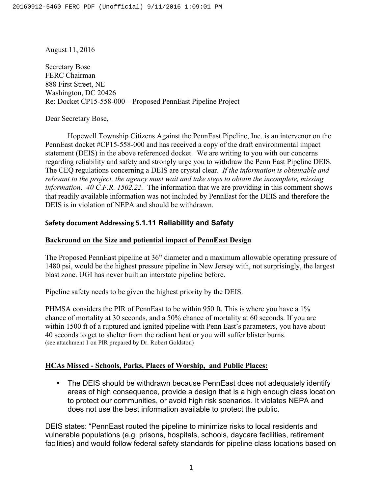August 11, 2016

Secretary Bose FERC Chairman 888 First Street, NE Washington, DC 20426 Re: Docket CP15-558-000 – Proposed PennEast Pipeline Project

Dear Secretary Bose,

Hopewell Township Citizens Against the PennEast Pipeline, Inc. is an intervenor on the PennEast docket #CP15-558-000 and has received a copy of the draft environmental impact statement (DEIS) in the above referenced docket. We are writing to you with our concerns regarding reliability and safety and strongly urge you to withdraw the Penn East Pipeline DEIS. The CEQ regulations concerning a DEIS are crystal clear. *If the information is obtainable and relevant to the project, the agency must wait and take steps to obtain the incomplete, missing information*. *40 C.F.R. 1502.22.* The information that we are providing in this comment shows that readily available information was not included by PennEast for the DEIS and therefore the DEIS is in violation of NEPA and should be withdrawn.

### **Safety document Addressing 5.1.11 Reliability and Safety**

### **Backround on the Size and potiential impact of PennEast Design**

The Proposed PennEast pipeline at 36" diameter and a maximum allowable operating pressure of 1480 psi, would be the highest pressure pipeline in New Jersey with, not surprisingly, the largest blast zone. UGI has never built an interstate pipeline before.

Pipeline safety needs to be given the highest priority by the DEIS.

PHMSA considers the PIR of PennEast to be within 950 ft. This is where you have a 1% chance of mortality at 30 seconds, and a 50% chance of mortality at 60 seconds. If you are within 1500 ft of a ruptured and ignited pipeline with Penn East's parameters, you have about 40 seconds to get to shelter from the radiant heat or you will suffer blister burns. (see attachment 1 on PIR prepared by Dr. Robert Goldston)

### **HCAs Missed - Schools, Parks, Places of Worship, and Public Places:**

• The DEIS should be withdrawn because PennEast does not adequately identify areas of high consequence, provide a design that is a high enough class location to protect our communities, or avoid high risk scenarios. It violates NEPA and does not use the best information available to protect the public.

DEIS states: "PennEast routed the pipeline to minimize risks to local residents and vulnerable populations (e.g. prisons, hospitals, schools, daycare facilities, retirement facilities) and would follow federal safety standards for pipeline class locations based on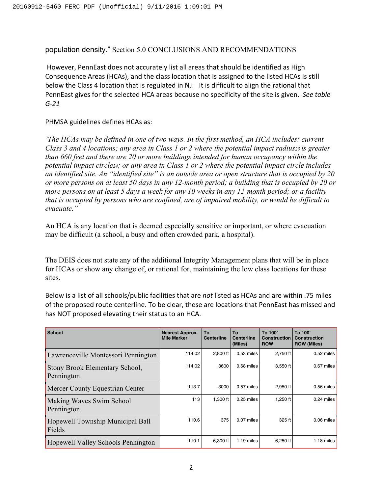population density." Section 5.0 CONCLUSIONS AND RECOMMENDATIONS

However, PennEast does not accurately list all areas that should be identified as High Consequence Areas (HCAs), and the class location that is assigned to the listed HCAs is still below the Class 4 location that is regulated in NJ. It is difficult to align the rational that PennEast gives for the selected HCA areas because no specificity of the site is given. See table *G-21*

PHMSA guidelines defines HCAs as:

*'The HCAs may be defined in one of two ways. In the first method, an HCA includes: current Class 3 and 4 locations; any area in Class 1 or 2 where the potential impact radius23 is greater than 660 feet and there are 20 or more buildings intended for human occupancy within the potential impact circle24; or any area in Class 1 or 2 where the potential impact circle includes an identified site. An "identified site" is an outside area or open structure that is occupied by 20 or more persons on at least 50 days in any 12-month period; a building that is occupied by 20 or more persons on at least 5 days a week for any 10 weeks in any 12-month period; or a facility that is occupied by persons who are confined, are of impaired mobility, or would be difficult to evacuate."* 

An HCA is any location that is deemed especially sensitive or important, or where evacuation may be difficult (a school, a busy and often crowded park, a hospital).

The DEIS does not state any of the additional Integrity Management plans that will be in place for HCAs or show any change of, or rational for, maintaining the low class locations for these sites.

Below is a list of all schools/public facilities that are *not* listed as HCAs and are within .75 miles of the proposed route centerline. To be clear, these are locations that PennEast has missed and has NOT proposed elevating their status to an HCA.

| <b>School</b>                                | <b>Nearest Approx.</b><br><b>Mile Marker</b> | To<br><b>Centerline</b> | Tο<br><b>Centerline</b><br>(Miles) | To 100'<br><b>Construction</b><br><b>ROW</b> | To 100'<br><b>Construction</b><br><b>ROW (Miles)</b> |
|----------------------------------------------|----------------------------------------------|-------------------------|------------------------------------|----------------------------------------------|------------------------------------------------------|
| Lawrenceville Montessori Pennington          | 114.02                                       | 2.800 ft                | $0.53$ miles                       | $2,750$ ft                                   | $0.52$ miles                                         |
| Stony Brook Elementary School,<br>Pennington | 114.02                                       | 3600                    | 0.68 miles                         | $3,550$ ft                                   | 0.67 miles                                           |
| Mercer County Equestrian Center              | 113.7                                        | 3000                    | 0.57 miles                         | $2.950$ ft                                   | 0.56 miles                                           |
| Making Waves Swim School<br>Pennington       | 113                                          | $1.300$ ft              | $0.25$ miles                       | 1,250 $ft$                                   | $0.24$ miles                                         |
| Hopewell Township Municipal Ball<br>Fields   | 110.6                                        | 375                     | 0.07 miles                         | 325 ft                                       | 0.06 miles                                           |
| Hopewell Valley Schools Pennington           | 110.1                                        | 6,300 ft                | $1.19$ miles                       | $6,250$ ft                                   | $1.18$ miles                                         |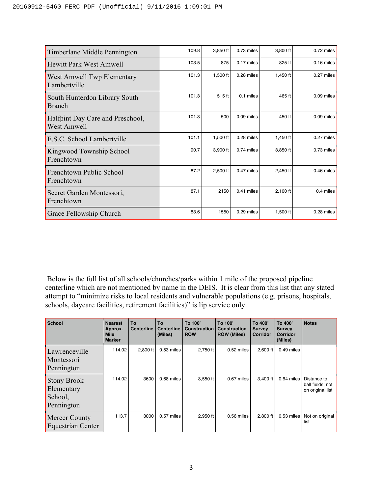| Timberlane Middle Pennington                    | 109.8 | 3,850 ft   | $0.73$ miles | 3,800 ft   | $0.72$ miles |
|-------------------------------------------------|-------|------------|--------------|------------|--------------|
| Hewitt Park West Amwell                         | 103.5 | 875        | $0.17$ miles | 825 ft     | $0.16$ miles |
| West Amwell Twp Elementary<br>Lambertville      | 101.3 | 1,500 ft   | 0.28 miles   | $1,450$ ft | 0.27 miles   |
| South Hunterdon Library South<br><b>Branch</b>  | 101.3 | 515 ft     | 0.1 miles    | 465 ft     | $0.09$ miles |
| Halfpint Day Care and Preschool,<br>West Amwell | 101.3 | 500        | $0.09$ miles | 450 ft     | $0.09$ miles |
| E.S.C. School Lambertville                      | 101.1 | $1,500$ ft | 0.28 miles   | 1,450 ft   | 0.27 miles   |
| Kingwood Township School<br>Frenchtown          | 90.7  | 3,900 ft   | 0.74 miles   | 3,850 ft   | 0.73 miles   |
| Frenchtown Public School<br>Frenchtown          | 87.2  | 2,500 ft   | 0.47 miles   | $2,450$ ft | $0.46$ miles |
| Secret Garden Montessori,<br>Frenchtown         | 87.1  | 2150       | $0.41$ miles | $2,100$ ft | 0.4 miles    |
| Grace Fellowship Church                         | 83.6  | 1550       | 0.29 miles   | 1,500 ft   | 0.28 miles   |

Below is the full list of all schools/churches/parks within 1 mile of the proposed pipeline centerline which are not mentioned by name in the DEIS. It is clear from this list that any stated attempt to "minimize risks to local residents and vulnerable populations (e.g. prisons, hospitals, schools, daycare facilities, retirement facilities)" is lip service only.

| <b>School</b>                                             | <b>Nearest</b><br>Approx.<br><b>Mile</b><br><b>Marker</b> | To<br><b>Centerline</b> | To<br><b>Centerline</b><br>(Miles) | To 100'<br><b>Construction</b><br><b>ROW</b> | To 100'<br><b>Construction</b><br><b>ROW (Miles)</b> | To 400'<br><b>Survey</b><br><b>Corridor</b> | To 400'<br><b>Survey</b><br><b>Corridor</b><br>(Miles) | <b>Notes</b>                                        |
|-----------------------------------------------------------|-----------------------------------------------------------|-------------------------|------------------------------------|----------------------------------------------|------------------------------------------------------|---------------------------------------------|--------------------------------------------------------|-----------------------------------------------------|
| Lawrenceville<br>Montessori<br>Pennington                 | 114.02                                                    | 2,800 ft                | 0.53 miles                         | 2,750 ft                                     | 0.52 miles                                           | 2,600 ft                                    | $0.49$ miles                                           |                                                     |
| <b>Stony Brook</b><br>Elementary<br>School,<br>Pennington | 114.02                                                    | 3600                    | 0.68 miles                         | 3,550 ft                                     | 0.67 miles                                           | 3,400 ft                                    | 0.64 miles                                             | Distance to<br>ball fields; not<br>on original list |
| <b>Mercer County</b><br><b>Equestrian Center</b>          | 113.7                                                     | 3000                    | 0.57 miles                         | 2,950 ft                                     | 0.56 miles                                           | 2,800 ft                                    | 0.53 miles                                             | Not on original<br>list                             |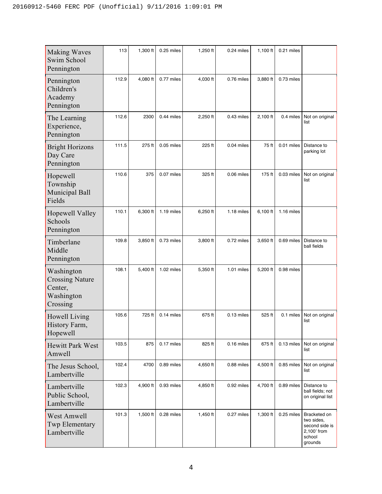| <b>Making Waves</b><br>Swim School<br>Pennington                          | 113   | 1,300 ft | 0.25 miles | 1,250 ft   | 0.24 miles | $1,100$ ft | 0.21 miles   |                                                                                  |
|---------------------------------------------------------------------------|-------|----------|------------|------------|------------|------------|--------------|----------------------------------------------------------------------------------|
| Pennington<br>Children's<br>Academy<br>Pennington                         | 112.9 | 4,080 ft | 0.77 miles | 4,030 ft   | 0.76 miles | 3,880 ft   | 0.73 miles   |                                                                                  |
| The Learning<br>Experience,<br>Pennington                                 | 112.6 | 2300     | 0.44 miles | 2,250 ft   | 0.43 miles | 2,100 ft   | 0.4 miles    | Not on original<br>list                                                          |
| <b>Bright Horizons</b><br>Day Care<br>Pennington                          | 111.5 | 275 ft   | 0.05 miles | 225 ft     | 0.04 miles | 75 ft      | 0.01 miles   | Distance to<br>parking lot                                                       |
| Hopewell<br>Township<br>Municipal Ball<br>Fields                          | 110.6 | 375      | 0.07 miles | 325 ft     | 0.06 miles | 175 ft     | 0.03 miles   | Not on original<br>list                                                          |
| Hopewell Valley<br>Schools<br>Pennington                                  | 110.1 | 6,300 ft | 1.19 miles | 6,250 ft   | 1.18 miles | 6,100 ft   | 1.16 miles   |                                                                                  |
| Timberlane<br>Middle<br>Pennington                                        | 109.8 | 3,850 ft | 0.73 miles | 3,800 ft   | 0.72 miles | 3,650 ft   | 0.69 miles   | Distance to<br>ball fields                                                       |
| Washington<br><b>Crossing Nature</b><br>Center,<br>Washington<br>Crossing | 108.1 | 5,400 ft | 1.02 miles | 5,350 ft   | 1.01 miles | 5,200 ft   | 0.98 miles   |                                                                                  |
| Howell Living<br>History Farm,<br>Hopewell                                | 105.6 | 725 ft   | 0.14 miles | 675 ft     | 0.13 miles | 525 ft     | 0.1 miles    | Not on original<br>list                                                          |
| <b>Hewitt Park West</b><br>Amwell                                         | 103.5 | 875      | 0.17 miles | 825 ft     | 0.16 miles | 675 ft     | $0.13$ miles | Not on original<br>list                                                          |
| The Jesus School,<br>Lambertville                                         | 102.4 | 4700     | 0.89 miles | 4,650 ft   | 0.88 miles | 4,500 ft   | 0.85 miles   | Not on original<br>list                                                          |
| Lambertville<br>Public School,<br>Lambertville                            | 102.3 | 4,900 ft | 0.93 miles | 4,850 ft   | 0.92 miles | 4,700 ft   | 0.89 miles   | Distance to<br>ball fields; not<br>on original list                              |
| <b>West Amwell</b><br><b>Twp Elementary</b><br>Lambertville               | 101.3 | 1,500 ft | 0.28 miles | $1,450$ ft | 0.27 miles | 1,300 ft   | 0.25 miles   | Bracketed on<br>two sides,<br>second side is<br>2,100' from<br>school<br>grounds |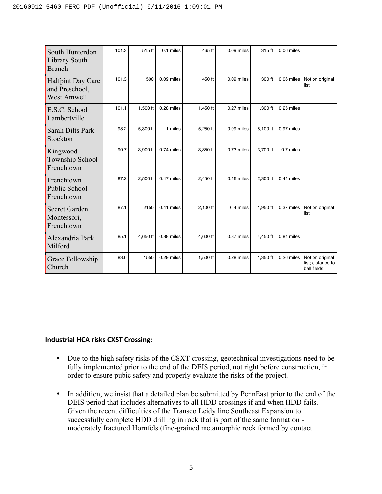| South Hunterdon<br>Library South<br><b>Branch</b>                | 101.3 | 515 ft   | 0.1 miles  | 465 ft     | 0.09 miles | 315 ft     | 0.06 miles   |                                                     |
|------------------------------------------------------------------|-------|----------|------------|------------|------------|------------|--------------|-----------------------------------------------------|
| <b>Halfpint Day Care</b><br>and Preschool,<br><b>West Amwell</b> | 101.3 | 500      | 0.09 miles | 450 ft     | 0.09 miles | 300 ft     | $0.06$ miles | Not on original<br>list                             |
| E.S.C. School<br>Lambertville                                    | 101.1 | 1,500 ft | 0.28 miles | 1,450 ft   | 0.27 miles | 1,300 ft   | 0.25 miles   |                                                     |
| Sarah Dilts Park<br>Stockton                                     | 98.2  | 5,300 ft | 1 miles    | 5,250 ft   | 0.99 miles | 5,100 ft   | 0.97 miles   |                                                     |
| Kingwood<br>Township School<br>Frenchtown                        | 90.7  | 3,900 ft | 0.74 miles | 3,850 ft   | 0.73 miles | 3,700 ft   | 0.7 miles    |                                                     |
| Frenchtown<br><b>Public School</b><br>Frenchtown                 | 87.2  | 2,500 ft | 0.47 miles | 2,450 ft   | 0.46 miles | 2,300 ft   | 0.44 miles   |                                                     |
| <b>Secret Garden</b><br>Montessori,<br>Frenchtown                | 87.1  | 2150     | 0.41 miles | $2,100$ ft | 0.4 miles  | 1,950 $ft$ | 0.37 miles   | Not on original<br>list                             |
| Alexandria Park<br>Milford                                       | 85.1  | 4,650 ft | 0.88 miles | 4,600 ft   | 0.87 miles | 4,450 ft   | 0.84 miles   |                                                     |
| Grace Fellowship<br>Church                                       | 83.6  | 1550     | 0.29 miles | 1,500 ft   | 0.28 miles | 1,350 ft   | 0.26 miles   | Not on original<br>list; distance to<br>ball fields |

### **Industrial HCA risks CXST Crossing:**

- Due to the high safety risks of the CSXT crossing, geotechnical investigations need to be fully implemented prior to the end of the DEIS period, not right before construction, in order to ensure pubic safety and properly evaluate the risks of the project.
- In addition, we insist that a detailed plan be submitted by PennEast prior to the end of the DEIS period that includes alternatives to all HDD crossings if and when HDD fails. Given the recent difficulties of the Transco Leidy line Southeast Expansion to successfully complete HDD drilling in rock that is part of the same formation moderately fractured Hornfels (fine-grained metamorphic rock formed by contact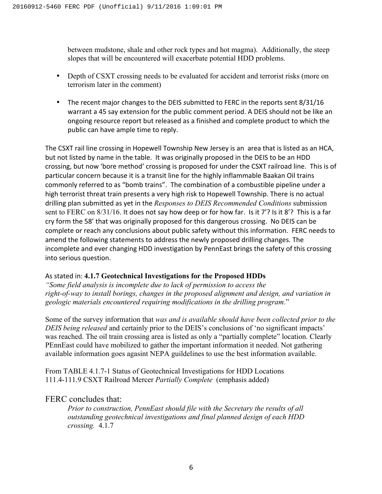between mudstone, shale and other rock types and hot magma). Additionally, the steep slopes that will be encountered will exacerbate potential HDD problems.

- Depth of CSXT crossing needs to be evaluated for accident and terrorist risks (more on terrorism later in the comment)
- The recent major changes to the DEIS submitted to FERC in the reports sent 8/31/16 warrant a 45 say extension for the public comment period. A DEIS should not be like an ongoing resource report but released as a finished and complete product to which the public can have ample time to reply.

The CSXT rail line crossing in Hopewell Township New Jersey is an area that is listed as an HCA, but not listed by name in the table. It was originally proposed in the DEIS to be an HDD crossing, but now 'bore method' crossing is proposed for under the CSXT railroad line. This is of particular concern because it is a transit line for the highly inflammable Baakan Oil trains commonly referred to as "bomb trains". The combination of a combustible pipeline under a high terrorist threat train presents a very high risk to Hopewell Township. There is no actual drilling plan submitted as yet in the *Responses to DEIS Recommended Conditions* submission sent to FERC on  $8/31/16$ . It does not say how deep or for how far. Is it  $7'$ ? Is it  $8'$ ? This is a far cry form the 58' that was originally proposed for this dangerous crossing. No DEIS can be complete or reach any conclusions about public safety without this information. FERC needs to amend the following statements to address the newly proposed drilling changes. The incomplete and ever changing HDD investigation by PennEast brings the safety of this crossing into serious question.

### As stated in: 4.1.7 Geotechnical Investigations for the Proposed HDDs

*"Some field analysis is incomplete due to lack of permission to access the right-of-way to install borings, changes in the proposed alignment and design, and variation in geologic materials encountered requiring modifications in the drilling program*."

Some of the survey information that *was and is available should have been collected prior to the DEIS being released* and certainly prior to the DEIS's conclusions of 'no significant impacts' was reached. The oil train crossing area is listed as only a "partially complete" location. Clearly PEnnEast could have mobilized to gather the important information it needed. Not gathering available information goes agasint NEPA guildelines to use the best information available.

From TABLE 4.1.7-1 Status of Geotechnical Investigations for HDD Locations 111.4-111.9 CSXT Railroad Mercer *Partially Complete* (emphasis added)

## FERC concludes that:

*Prior to construction, PennEast should file with the Secretary the results of all outstanding geotechnical investigations and final planned design of each HDD crossing.* 4.1.7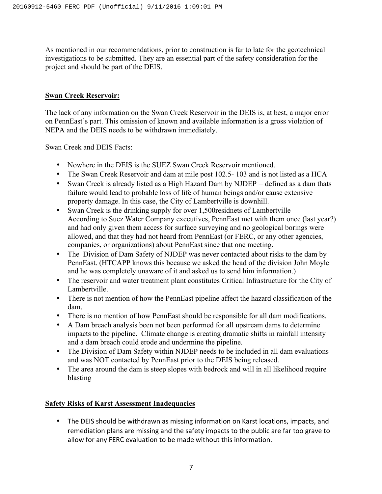As mentioned in our recommendations, prior to construction is far to late for the geotechnical investigations to be submitted. They are an essential part of the safety consideration for the project and should be part of the DEIS.

### **Swan Creek Reservoir:**

The lack of any information on the Swan Creek Reservoir in the DEIS is, at best, a major error on PennEast's part. This omission of known and available information is a gross violation of NEPA and the DEIS needs to be withdrawn immediately.

Swan Creek and DEIS Facts:

- Nowhere in the DEIS is the SUEZ Swan Creek Reservoir mentioned.
- The Swan Creek Reservoir and dam at mile post 102.5-103 and is not listed as a HCA
- Swan Creek is already listed as a High Hazard Dam by NJDEP defined as a dam thats failure would lead to probable loss of life of human beings and/or cause extensive property damage. In this case, the City of Lambertville is downhill.
- Swan Creek is the drinking supply for over 1,500 residents of Lambertville According to Suez Water Company executives, PennEast met with them once (last year?) and had only given them access for surface surveying and no geological borings were allowed, and that they had not heard from PennEast (or FERC, or any other agencies, companies, or organizations) about PennEast since that one meeting.
- The Division of Dam Safety of NJDEP was never contacted about risks to the dam by PennEast. (HTCAPP knows this because we asked the head of the division John Moyle and he was completely unaware of it and asked us to send him information.)
- The reservoir and water treatment plant constitutes Critical Infrastructure for the City of Lambertville.
- There is not mention of how the PennEast pipeline affect the hazard classification of the dam.
- There is no mention of how PennEast should be responsible for all dam modifications.
- A Dam breach analysis been not been performed for all upstream dams to determine impacts to the pipeline. Climate change is creating dramatic shifts in rainfall intensity and a dam breach could erode and undermine the pipeline.
- The Division of Dam Safety within NJDEP needs to be included in all dam evaluations and was NOT contacted by PennEast prior to the DEIS being released.
- The area around the dam is steep slopes with bedrock and will in all likelihood require blasting

### **Safety Risks of Karst Assessment Inadequacies**

• The DEIS should be withdrawn as missing information on Karst locations, impacts, and remediation plans are missing and the safety impacts to the public are far too grave to allow for any FERC evaluation to be made without this information.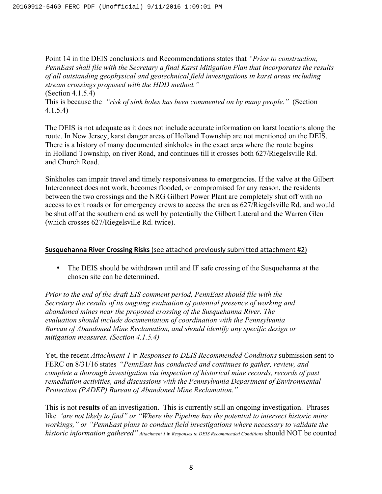Point 14 in the DEIS conclusions and Recommendations states that *"Prior to construction, PennEast shall file with the Secretary a final Karst Mitigation Plan that incorporates the results of all outstanding geophysical and geotechnical field investigations in karst areas including stream crossings proposed with the HDD method."* (Section 4.1.5.4)

This is because the *"risk of sink holes has been commented on by many people."* (Section 4.1.5.4)

The DEIS is not adequate as it does not include accurate information on karst locations along the route. In New Jersey, karst danger areas of Holland Township are not mentioned on the DEIS. There is a history of many documented sinkholes in the exact area where the route begins in Holland Township, on river Road, and continues till it crosses both 627/Riegelsville Rd. and Church Road.

Sinkholes can impair travel and timely responsiveness to emergencies. If the valve at the Gilbert Interconnect does not work, becomes flooded, or compromised for any reason, the residents between the two crossings and the NRG Gilbert Power Plant are completely shut off with no access to exit roads or for emergency crews to access the area as 627/Riegelsville Rd. and would be shut off at the southern end as well by potentially the Gilbert Lateral and the Warren Glen (which crosses 627/Riegelsville Rd. twice).

### **Susquehanna River Crossing Risks** (see attached previously submitted attachment #2)

• The DEIS should be withdrawn until and IF safe crossing of the Susquehanna at the chosen site can be determined.

*Prior to the end of the draft EIS comment period, PennEast should file with the Secretary the results of its ongoing evaluation of potential presence of working and abandoned mines near the proposed crossing of the Susquehanna River. The evaluation should include documentation of coordination with the Pennsylvania Bureau of Abandoned Mine Reclamation, and should identify any specific design or mitigation measures. (Section 4.1.5.4)*

Yet, the recent *Attachment 1* in *Responses to DEIS Recommended Conditions* submission sent to FERC on 8/31/16 states "*PennEast has conducted and continues to gather, review, and complete a thorough investigation via inspection of historical mine records, records of past remediation activities, and discussions with the Pennsylvania Department of Environmental Protection (PADEP) Bureau of Abandoned Mine Reclamation."* 

This is not **results** of an investigation. This is currently still an ongoing investigation. Phrases like *'are not likely to find" or "Where the Pipeline has the potential to intersect historic mine workings," or "PennEast plans to conduct field investigations where necessary to validate the historic information gathered" Attachment 1* in *Responses to DEIS Recommended Conditions* should NOT be counted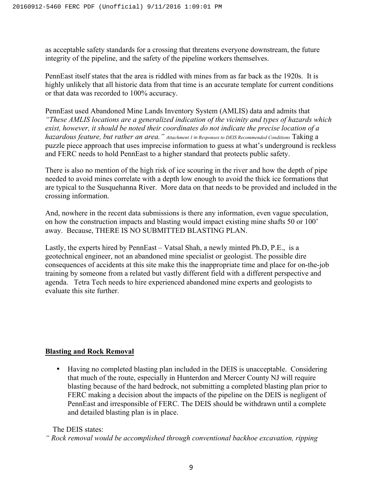as acceptable safety standards for a crossing that threatens everyone downstream, the future integrity of the pipeline, and the safety of the pipeline workers themselves.

PennEast itself states that the area is riddled with mines from as far back as the 1920s. It is highly unlikely that all historic data from that time is an accurate template for current conditions or that data was recorded to 100% accuracy.

PennEast used Abandoned Mine Lands Inventory System (AMLIS) data and admits that *"These AMLIS locations are a generalized indication of the vicinity and types of hazards which exist, however, it should be noted their coordinates do not indicate the precise location of a hazardous feature, but rather an area.*" *Attachment 1* in *Responses to DEIS Recommended Conditions* Taking a puzzle piece approach that uses imprecise information to guess at what's underground is reckless and FERC needs to hold PennEast to a higher standard that protects public safety.

There is also no mention of the high risk of ice scouring in the river and how the depth of pipe needed to avoid mines correlate with a depth low enough to avoid the thick ice formations that are typical to the Susquehanna River. More data on that needs to be provided and included in the crossing information.

And, nowhere in the recent data submissions is there any information, even vague speculation, on how the construction impacts and blasting would impact existing mine shafts 50 or 100' away. Because, THERE IS NO SUBMITTED BLASTING PLAN.

Lastly, the experts hired by PennEast – Vatsal Shah, a newly minted Ph.D, P.E., is a geotechnical engineer, not an abandoned mine specialist or geologist. The possible dire consequences of accidents at this site make this the inappropriate time and place for on-the-job training by someone from a related but vastly different field with a different perspective and agenda. Tetra Tech needs to hire experienced abandoned mine experts and geologists to evaluate this site further.

## **Blasting and Rock Removal**

• Having no completed blasting plan included in the DEIS is unacceptable. Considering that much of the route, especially in Hunterdon and Mercer County NJ will require blasting because of the hard bedrock, not submitting a completed blasting plan prior to FERC making a decision about the impacts of the pipeline on the DEIS is negligent of PennEast and irresponsible of FERC. The DEIS should be withdrawn until a complete and detailed blasting plan is in place.

The DEIS states:

*" Rock removal would be accomplished through conventional backhoe excavation, ripping*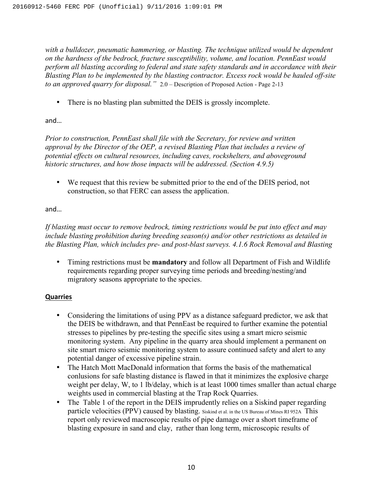*with a bulldozer, pneumatic hammering, or blasting. The technique utilized would be dependent on the hardness of the bedrock, fracture susceptibility, volume, and location. PennEast would perform all blasting according to federal and state safety standards and in accordance with their Blasting Plan to be implemented by the blasting contractor. Excess rock would be hauled off-site to an approved quarry for disposal."* 2.0 – Description of Proposed Action - Page 2-13

• There is no blasting plan submitted the DEIS is grossly incomplete.

# and…

*Prior to construction, PennEast shall file with the Secretary, for review and written approval by the Director of the OEP, a revised Blasting Plan that includes a review of potential effects on cultural resources, including caves, rockshelters, and aboveground historic structures, and how those impacts will be addressed. (Section 4.9.5)*

• We request that this review be submitted prior to the end of the DEIS period, not construction, so that FERC can assess the application.

# and…

*If blasting must occur to remove bedrock, timing restrictions would be put into effect and may include blasting prohibition during breeding season(s) and/or other restrictions as detailed in the Blasting Plan, which includes pre- and post-blast surveys. 4.1.6 Rock Removal and Blasting*

• Timing restrictions must be **mandatory** and follow all Department of Fish and Wildlife requirements regarding proper surveying time periods and breeding/nesting/and migratory seasons appropriate to the species.

# **Quarries**

- Considering the limitations of using PPV as a distance safeguard predictor, we ask that the DEIS be withdrawn, and that PennEast be required to further examine the potential stresses to pipelines by pre-testing the specific sites using a smart micro seismic monitoring system. Any pipeline in the quarry area should implement a permanent on site smart micro seismic monitoring system to assure continued safety and alert to any potential danger of excessive pipeline strain.
- The Hatch Mott MacDonald information that forms the basis of the mathematical conlusions for safe blasting distance is flawed in that it minimizes the explosive charge weight per delay, W, to 1 lb/delay, which is at least 1000 times smaller than actual charge weights used in commercial blasting at the Trap Rock Quarries.
- The Table 1 of the report in the DEIS imprudently relies on a Siskind paper regarding particle velocities (PPV) caused by blasting. Siskind et al. in the US Bureau of Mines RI 952A This report only reviewed macroscopic results of pipe damage over a short timeframe of blasting exposure in sand and clay, rather than long term, microscopic results of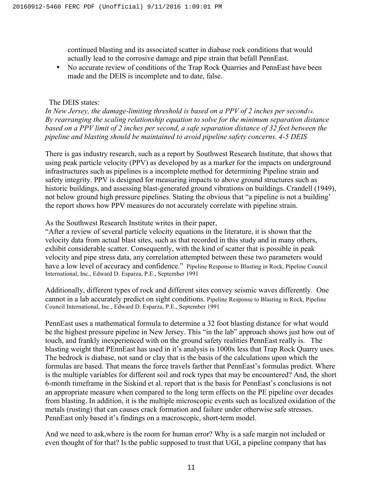continued blasting and its associated scatter in diabase rock conditions that would actually lead to the corrosive damage and pipe strain that befall PennEast.

• No accurate review of conditions of the Trap Rock Quarries and PennEast have been made and the DEIS is incomplete and to date, false.

#### The DEIS states:

*In New Jersey, the damage-limiting threshold is based on a PPV of 2 inches per second14. By rearranging the scaling relationship equation to solve for the minimum separation distance based on a PPV limit of 2 inches per second, a safe separation distance of 32 feet between the pipeline and blasting should be maintained to avoid pipeline safety concerns. 4-5 DEIS*

There is gas industry research, such as a report by Southwest Research Institute, that shows that using peak particle velocity (PPV) as developed by as a marker for the impacts on underground infrastructures such as pipelines is a incomplete method for determining Pipeline strain and safety integrity. PPV is designed for measuring impacts to above ground structures such as historic buildings, and assessing blast-generated ground vibrations on buildings. Crandell (1949), not below ground high pressure pipelines. Stating the obvious that "a pipeline is not a building' the report shows how PPV measures do not accurately correlate with pipeline strain.

As the Southwest Research Institute writes in their paper,

"After a review of several particle velocity equations in the literature, it is shown that the velocity data from actual blast sites, such as that recorded in this study and in many others, exhibit considerable scatter. Consequently, with the kind of scatter that is possible in peak velocity and pipe stress data, any correlation attempted between these two parameters would have a low level of accuracy and confidence." Pipeline Response to Blasting in Rock, Pipeline Council International, Inc., Edward D. Esparza, P.E., September 1991

Additionally, different types of rock and different sites convey seismic waves differently. One cannot in a lab accurately predict on sight conditions. Pipeline Response to Blasting in Rock, Pipeline Council International, Inc., Edward D. Esparza, P.E., September 1991

PennEast uses a mathematical formula to determine a 32 foot blasting distance for what would be the highest pressure pipeline in New Jersey. This "in the lab" approach shows just how out of touch, and frankly inexperienced with on the ground safety realities PennEast really is. The blasting weight that PEnnEast has used in it's analysis is 1000x less that Trap Rock Quarry uses. The bedrock is diabase, not sand or clay that is the basis of the calculations upon which the formulas are based. That means the force travels farther that PennEast's formulas predict. Where is the multiple variables for different soil and rock types that may be encountered? And, the short 6-month timeframe in the Siskind et al. report that is the basis for PennEast's conclusions is not an appropriate measure when compared to the long term effects on the PE pipeline over decades from blasting. In addition, it is the multiple microscopic events such as localized oxidation of the metals (rusting) that can causes crack formation and failure under otherwise safe stresses. PennEast only based it's findings on a macroscopic, short-term model.

And we need to ask,where is the room for human error? Why is a safe margin not included or even thought of for that? Is the public supposed to trust that UGI, a pipeline company that has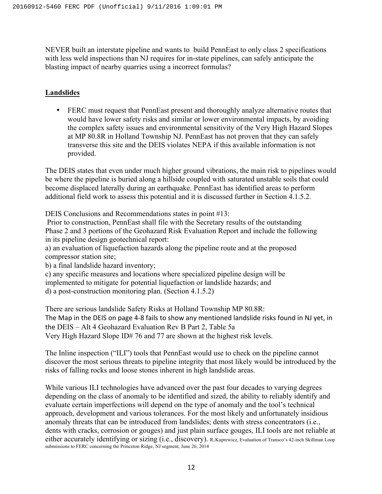NEVER built an interstate pipeline and wants to build PennEast to only class 2 specifications with less weld inspections than NJ requires for in-state pipelines, can safely anticipate the blasting impact of nearby quarries using a incorrect formulas?

# **Landslides**

• FERC must request that PennEast present and thoroughly analyze alternative routes that would have lower safety risks and similar or lower environmental impacts, by avoiding the complex safety issues and environmental sensitivity of the Very High Hazard Slopes at MP 80.8R in Holland Township NJ. PennEast has not proven that they can safely transverse this site and the DEIS violates NEPA if this available information is not provided.

The DEIS states that even under much higher ground vibrations, the main risk to pipelines would be where the pipeline is buried along a hillside coupled with saturated unstable soils that could become displaced laterally during an earthquake. PennEast has identified areas to perform additional field work to assess this potential and it is discussed further in Section 4.1.5.2.

DEIS Conclusions and Recommendations states in point #13:

Prior to construction, PennEast shall file with the Secretary results of the outstanding Phase 2 and 3 portions of the Geohazard Risk Evaluation Report and include the following in its pipeline design geotechnical report:

a) an evaluation of liquefaction hazards along the pipeline route and at the proposed compressor station site;

b) a final landslide hazard inventory;

c) any specific measures and locations where specialized pipeline design will be implemented to mitigate for potential liquefaction or landslide hazards; and d) a post-construction monitoring plan. (Section 4.1.5.2)

There are serious landslide Safety Risks at Holland Township MP 80.8R: The Map in the DEIS on page 4-8 fails to show any mentioned landslide risks found in NJ yet, in the DEIS – Alt 4 Geohazard Evaluation Rev B Part 2, Table 5a Very High Hazard Slope ID# 76 and 77 are shown at the highest risk levels.

The Inline inspection ("ILI") tools that PennEast would use to check on the pipeline cannot discover the most serious threats to pipeline integrity that most likely would be introduced by the risks of falling rocks and loose stones inherent in high landslide areas.

While various ILI technologies have advanced over the past four decades to varying degrees depending on the class of anomaly to be identified and sized, the ability to reliably identify and evaluate certain imperfections will depend on the type of anomaly and the tool's technical approach, development and various tolerances. For the most likely and unfortunately insidious anomaly threats that can be introduced from landslides; dents with stress concentrators (i.e., dents with cracks, corrosion or gouges) and just plain surface gouges, ILI tools are not reliable at either accurately identifying or sizing (i.e., discovery). R.Kuprewicz, Evaluation of Transco's 42-inch Skillman Loop submissions to FERC concerning the Princeton Ridge, NJ segment, June 26, 2014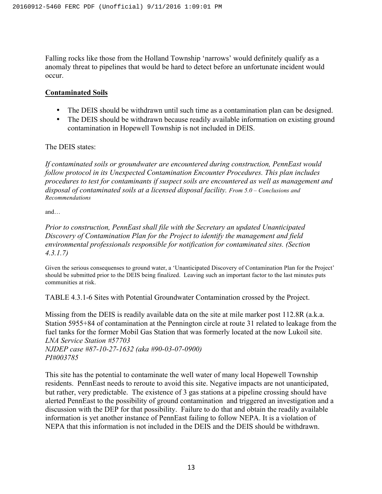Falling rocks like those from the Holland Township 'narrows' would definitely qualify as a anomaly threat to pipelines that would be hard to detect before an unfortunate incident would occur.

### **Contaminated Soils**

- The DEIS should be withdrawn until such time as a contamination plan can be designed.
- The DEIS should be withdrawn because readily available information on existing ground contamination in Hopewell Township is not included in DEIS.

### The DEIS states:

*If contaminated soils or groundwater are encountered during construction, PennEast would follow protocol in its Unexpected Contamination Encounter Procedures. This plan includes procedures to test for contaminants if suspect soils are encountered as well as management and disposal of contaminated soils at a licensed disposal facility. From 5.0 – Conclusions and Recommendations*

and…

*Prior to construction, PennEast shall file with the Secretary an updated Unanticipated Discovery of Contamination Plan for the Project to identify the management and field environmental professionals responsible for notification for contaminated sites. (Section 4.3.1.7)*

Given the serious consequenses to ground water, a 'Unanticipated Discovery of Contamination Plan for the Project' should be submitted prior to the DEIS being finalized. Leaving such an important factor to the last minutes puts communities at risk.

TABLE 4.3.1-6 Sites with Potential Groundwater Contamination crossed by the Project.

Missing from the DEIS is readily available data on the site at mile marker post 112.8R (a.k.a. Station 5955+84 of contamination at the Pennington circle at route 31 related to leakage from the fuel tanks for the former Mobil Gas Station that was formerly located at the now Lukoil site. *LNA Service Station #57703*

*NJDEP case #87-10-27-1632 (aka #90-03-07-0900) PI#003785*

This site has the potential to contaminate the well water of many local Hopewell Township residents. PennEast needs to reroute to avoid this site. Negative impacts are not unanticipated, but rather, very predictable. The existence of 3 gas stations at a pipeline crossing should have alerted PennEast to the possibility of ground contamination and triggered an investigation and a discussion with the DEP for that possibility. Failure to do that and obtain the readily available information is yet another instance of PennEast failing to follow NEPA. It is a violation of NEPA that this information is not included in the DEIS and the DEIS should be withdrawn.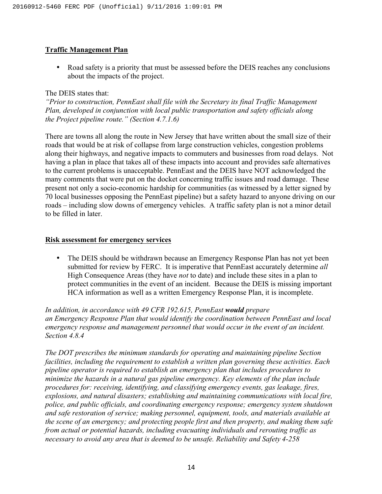### **Traffic Management Plan**

• Road safety is a priority that must be assessed before the DEIS reaches any conclusions about the impacts of the project.

#### The DEIS states that:

*"Prior to construction, PennEast shall file with the Secretary its final Traffic Management Plan, developed in conjunction with local public transportation and safety officials along the Project pipeline route." (Section 4.7.1.6)*

There are towns all along the route in New Jersey that have written about the small size of their roads that would be at risk of collapse from large construction vehicles, congestion problems along their highways, and negative impacts to commuters and businesses from road delays. Not having a plan in place that takes all of these impacts into account and provides safe alternatives to the current problems is unacceptable. PennEast and the DEIS have NOT acknowledged the many comments that were put on the docket concerning traffic issues and road damage. These present not only a socio-economic hardship for communities (as witnessed by a letter signed by 70 local businesses opposing the PennEast pipeline) but a safety hazard to anyone driving on our roads – including slow downs of emergency vehicles. A traffic safety plan is not a minor detail to be filled in later.

### **Risk assessment for emergency services**

• The DEIS should be withdrawn because an Emergency Response Plan has not yet been submitted for review by FERC. It is imperative that PennEast accurately determine *all* High Consequence Areas (they have *not* to date) and include these sites in a plan to protect communities in the event of an incident. Because the DEIS is missing important HCA information as well as a written Emergency Response Plan, it is incomplete.

*In addition, in accordance with 49 CFR 192.615, PennEast would prepare an Emergency Response Plan that would identify the coordination between PennEast and local emergency response and management personnel that would occur in the event of an incident. Section 4.8.4*

*The DOT prescribes the minimum standards for operating and maintaining pipeline Section facilities, including the requirement to establish a written plan governing these activities. Each pipeline operator is required to establish an emergency plan that includes procedures to minimize the hazards in a natural gas pipeline emergency. Key elements of the plan include procedures for: receiving, identifying, and classifying emergency events, gas leakage, fires, explosions, and natural disasters; establishing and maintaining communications with local fire, police, and public officials, and coordinating emergency response; emergency system shutdown and safe restoration of service; making personnel, equipment, tools, and materials available at the scene of an emergency; and protecting people first and then property, and making them safe from actual or potential hazards, including evacuating individuals and rerouting traffic as necessary to avoid any area that is deemed to be unsafe. Reliability and Safety 4-258*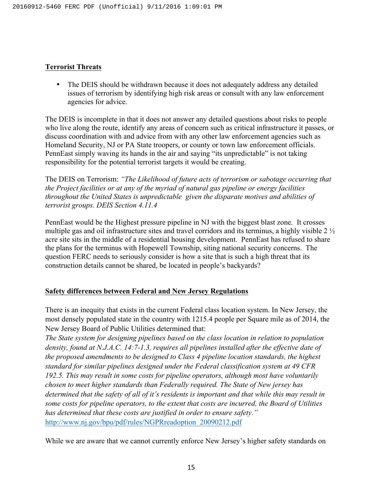### **Terrorist Threats**

• The DEIS should be withdrawn because it does not adequately address any detailed issues of terrorism by identifying high risk areas or consult with any law enforcement agencies for advice.

The DEIS is incomplete in that it does not answer any detailed questions about risks to people who live along the route, identify any areas of concern such as critical infrastructure it passes, or discuss coordination with and advice from with any other law enforcement agencies such as Homeland Security, NJ or PA State troopers, or county or town law enforcement officials. PennEast simply waving its hands in the air and saying "its unpredictable" is not taking responsibility for the potential terrorist targets it would be creating.

The DEIS on Terrorism: *"The Likelihood of future acts of terrorism or sabotage occurring that the Project facilities or at any of the myriad of natural gas pipeline or energy facilities throughout the United States is unpredictable given the disparate motives and abilities of terrorist groups. DEIS Section 4.11.4* 

PennEast would be the Highest pressure pipeline in NJ with the biggest blast zone. It crosses multiple gas and oil infrastructure sites and travel corridors and its terminus, a highly visible 2 ½ acre site sits in the middle of a residential housing development. PennEast has refused to share the plans for the terminus with Hopewell Township, siting national security concerns. The question FERC needs to seriously consider is how a site that is such a high threat that its construction details cannot be shared, be located in people's backyards?

### **Safety differences between Federal and New Jersey Regulations**

There is an inequity that exists in the current Federal class location system. In New Jersey, the most densely populated state in the country with 1215.4 people per Square mile as of 2014, the New Jersey Board of Public Utilities determined that:

*The State system for designing pipelines based on the class location in relation to population density, found at N.J.A.C. 14:7-1.3, requires all pipelines installed after the effective date of the proposed amendments to be designed to Class 4 pipeline location standards, the highest standard for similar pipelines designed under the Federal classification system at 49 CFR 192.5. This may result in some costs for pipeline operators, although most have voluntarily chosen to meet higher standards than Federally required. The State of New jersey has determined that the safety of all of it's residents is important and that while this may result in some costs for pipeline operators, to the extent that costs are incurred, the Board of Utilities has determined that these costs are justified in order to ensure safety."* http://www.nj.gov/bpu/pdf/rules/NGPRreadoption\_20090212.pdf

While we are aware that we cannot currently enforce New Jersey's higher safety standards on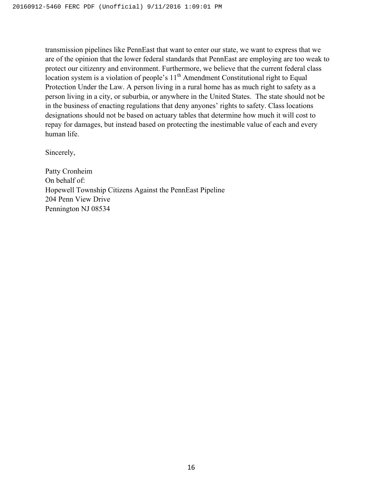transmission pipelines like PennEast that want to enter our state, we want to express that we are of the opinion that the lower federal standards that PennEast are employing are too weak to protect our citizenry and environment. Furthermore, we believe that the current federal class location system is a violation of people's  $11<sup>th</sup>$  Amendment Constitutional right to Equal Protection Under the Law. A person living in a rural home has as much right to safety as a person living in a city, or suburbia, or anywhere in the United States. The state should not be in the business of enacting regulations that deny anyones' rights to safety. Class locations designations should not be based on actuary tables that determine how much it will cost to repay for damages, but instead based on protecting the inestimable value of each and every human life.

Sincerely,

Patty Cronheim On behalf of: Hopewell Township Citizens Against the PennEast Pipeline 204 Penn View Drive Pennington NJ 08534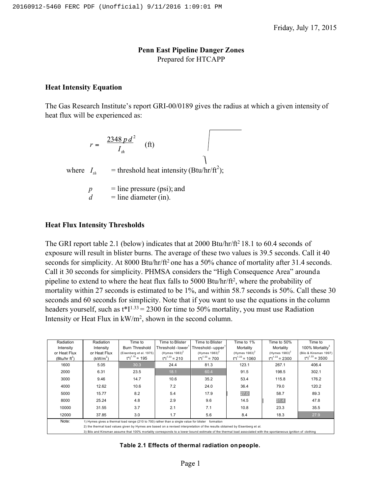### **Penn East Pipeline Danger Zones** Prepared for HTCAPP

#### **Heat Intensity Equation**

The Gas Research Institute's report GRI-00/0189 gives the radius at which a given intensity of heat flux will be experienced as:

 $r = \frac{2348 \, p \, d^2}{I_{th}}$  (ft) where  $I_{th}$  = threshold heat intensity (Btu/hr/ft<sup>2</sup>);  $p =$  line pressure (psi); and  $d =$  line diameter (in).

#### **Heat Flux Intensity Thresholds**

The GRI report table 2.1 (below) indicates that at  $2000$  Btu/hr/ft<sup>2</sup> 18.1 to 60.4 seconds of exposure will result in blister burns. The average of these two values is 39.5 seconds. Call it 40 seconds for simplicity. At 8000 Btu/hr/ft<sup>2</sup> one has a 50% chance of mortality after 31.4 seconds. Call it 30 seconds for simplicity. PHMSA considers the "High Consequence Area" arounda pipeline to extend to where the heat flux falls to 5000 Btu/hr/ft2, where the probability of mortality within 27 seconds is estimated to be 1%, and within 58.7 seconds is 50%. Call these 30 seconds and 60 seconds for simplicity. Note that if you want to use the equations in the column headers yourself, such as  $t^*I^{1.33} = 2300$  for time to 50% mortality, you must use Radiation Intensity or Heat Flux in kW/m2, shown in the second column.

| Radiation        | Radiation    | Time to                                                                                           | Time to Blister     | Time to Blister                                                                                                                                               | Time to 1%           | Time to 50%                  | Time to                     |
|------------------|--------------|---------------------------------------------------------------------------------------------------|---------------------|---------------------------------------------------------------------------------------------------------------------------------------------------------------|----------------------|------------------------------|-----------------------------|
| Intensity        | Intensity    | <b>Burn Threshold</b>                                                                             | Threshold - lower'  | Threshold - upper <sup>1</sup>                                                                                                                                | Mortality            | Mortality                    | 100% Mortality <sup>3</sup> |
| or Heat Flux     | or Heat Flux | (Eisenberg et al. 1975)                                                                           | $(Hymes 1983)^2$    | (Hymes $1983)^2$                                                                                                                                              | $(Hymes 1983)^2$     | (Hymes $1983$ ) <sup>2</sup> | (Bilo & Kinsman 1997)       |
| (Btu/hr $ft^2$ ) | $(kW/m^2)$   | $t^*1^{1.15} = 195$                                                                               | $t^*1^{1.33} = 210$ | $t^*1^{1.33} = 700$                                                                                                                                           | $t^*1^{1.33} = 1060$ | $t^*1^{1.33} = 2300$         | $t*11.33 = 3500$            |
| 1600             | 5.05         | 30.3                                                                                              | 24.4                | 81.3                                                                                                                                                          | 123.1                | 267.1                        | 406.4                       |
| 2000             | 6.31         | 23.5                                                                                              | 18.1                | 60.4                                                                                                                                                          | 91.5                 | 198.5                        | 302.1                       |
| 3000             | 9.46         | 14.7                                                                                              | 10.6                | 35.2                                                                                                                                                          | 53.4                 | 115.8                        | 176.2                       |
| 4000             | 12.62        | 10.6                                                                                              | 7.2                 | 24.0                                                                                                                                                          | 36.4                 | 79.0                         | 120.2                       |
| 5000             | 15.77        | 8.2                                                                                               | 5.4                 | 17.9                                                                                                                                                          | 27.0                 | 58.7                         | 89.3                        |
| 8000             | 25.24        | 4.8                                                                                               | 2.9                 | 9.6                                                                                                                                                           | 14.5                 | 31.4                         | 47.8                        |
| 10000            | 31.55        | 3.7                                                                                               | 2.1                 | 7.1                                                                                                                                                           | 10.8                 | 23.3                         | 35.5                        |
| 12000            | 37.85        | 3.0                                                                                               | 1.7                 | 5.6                                                                                                                                                           | 8.4                  | 18.3                         | 27.9                        |
| Note:            |              | 1) Hymes gives a thermal load range (210 to 700) rather than a single value for blister formation |                     |                                                                                                                                                               |                      |                              |                             |
|                  |              |                                                                                                   |                     | 2) the thermal load values given by Hymes are based on a revised interpretation of the results obtained by Eisenberg et al.                                   |                      |                              |                             |
|                  |              |                                                                                                   |                     | 3) Bilo and Kinsman assume that 100% mortality corresponds to a lower bound estimate of the thermal load associated with the spontaneous ignition of clothing |                      |                              |                             |

**Table 2.1 Effects of thermal radiation onpeople.**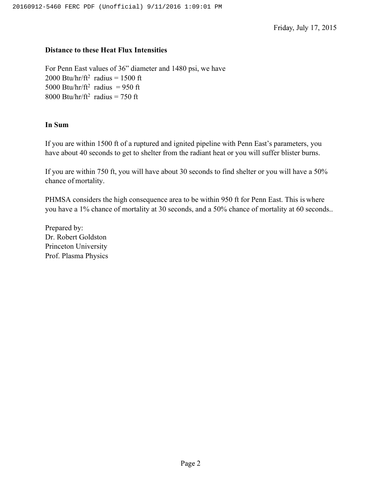Friday, July 17, 2015

### **Distance to these Heat Flux Intensities**

For Penn East values of 36" diameter and 1480 psi, we have 2000 Btu/hr/ft<sup>2</sup> radius = 1500 ft 5000 Btu/hr/ft<sup>2</sup> radius = 950 ft 8000 Btu/hr/ft<sup>2</sup> radius = 750 ft

### **In Sum**

If you are within 1500 ft of a ruptured and ignited pipeline with Penn East's parameters, you have about 40 seconds to get to shelter from the radiant heat or you will suffer blister burns.

If you are within 750 ft, you will have about 30 seconds to find shelter or you will have a 50% chance of mortality.

PHMSA considers the high consequence area to be within 950 ft for Penn East. This is where you have a 1% chance of mortality at 30 seconds, and a 50% chance of mortality at 60 seconds..

Prepared by: Dr. Robert Goldston Princeton University Prof. Plasma Physics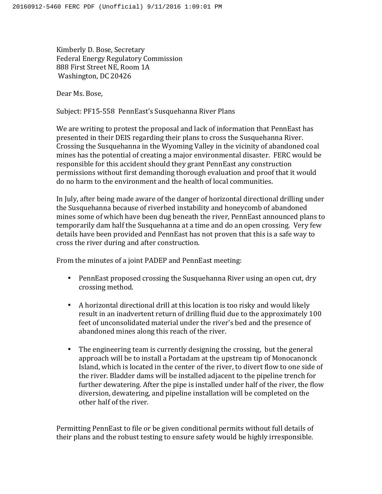Kimberly D. Bose, Secretary Federal Energy Regulatory Commission 888 First Street NE, Room 1A Washington, DC 20426

Dear Ms. Bose,

Subject: PF15-558 PennEast's Susquehanna River Plans

We are writing to protest the proposal and lack of information that PennEast has presented in their DEIS regarding their plans to cross the Susquehanna River. Crossing the Susquehanna in the Wyoming Valley in the vicinity of abandoned coal mines has the potential of creating a major environmental disaster. FERC would be responsible for this accident should they grant PennEast any construction permissions without first demanding thorough evaluation and proof that it would do no harm to the environment and the health of local communities.

In July, after being made aware of the danger of horizontal directional drilling under the Susquehanna because of riverbed instability and honeycomb of abandoned mines some of which have been dug beneath the river, PennEast announced plans to temporarily dam half the Susquehanna at a time and do an open crossing. Very few details have been provided and PennEast has not proven that this is a safe way to cross the river during and after construction.

From the minutes of a joint PADEP and PennEast meeting:

- PennEast proposed crossing the Susquehanna River using an open cut, dry crossing method.
- A horizontal directional drill at this location is too risky and would likely result in an inadvertent return of drilling fluid due to the approximately 100 feet of unconsolidated material under the river's bed and the presence of abandoned mines along this reach of the river.
- The engineering team is currently designing the crossing, but the general approach will be to install a Portadam at the upstream tip of Monocanonck Island, which is located in the center of the river, to divert flow to one side of the river. Bladder dams will be installed adjacent to the pipeline trench for further dewatering. After the pipe is installed under half of the river, the flow diversion, dewatering, and pipeline installation will be completed on the other half of the river.

Permitting PennEast to file or be given conditional permits without full details of their plans and the robust testing to ensure safety would be highly irresponsible.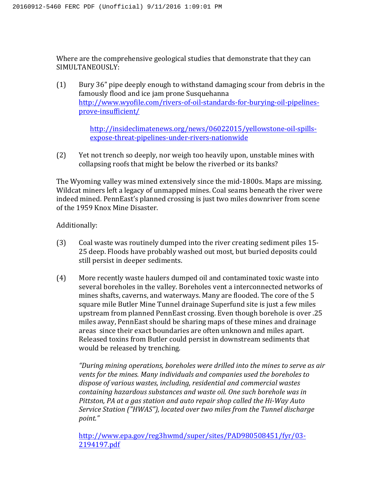Where are the comprehensive geological studies that demonstrate that they can SIMULTANEOUSLY:

(1) Bury 36" pipe deeply enough to withstand damaging scour from debris in the famously flood and ice jam prone Susquehanna http://www.wyofile.com/rivers-of-oil-standards-for-burying-oil-pipelinesprove-insufficient/

> http://insideclimatenews.org/news/06022015/yellowstone-oil-spillsexpose-threat-pipelines-under-rivers-nationwide

(2) Yet not trench so deeply, nor weigh too heavily upon, unstable mines with collapsing roofs that might be below the riverbed or its banks?

The Wyoming valley was mined extensively since the mid-1800s. Maps are missing. Wildcat miners left a legacy of unmapped mines. Coal seams beneath the river were indeed mined. PennEast's planned crossing is just two miles downriver from scene of the 1959 Knox Mine Disaster.

## Additionally:

- (3) Coal waste was routinely dumped into the river creating sediment piles 15-25 deep. Floods have probably washed out most, but buried deposits could still persist in deeper sediments.
- (4) More recently waste haulers dumped oil and contaminated toxic waste into several boreholes in the valley. Boreholes vent a interconnected networks of mines shafts, caverns, and waterways. Many are flooded. The core of the 5 square mile Butler Mine Tunnel drainage Superfund site is just a few miles upstream from planned PennEast crossing. Even though borehole is over .25 miles away, PennEast should be sharing maps of these mines and drainage areas since their exact boundaries are often unknown and miles apart. Released toxins from Butler could persist in downstream sediments that would be released by trenching.

"During mining operations, boreholes were drilled into the mines to serve as air *vents for the mines. Many individuals and companies used the boreholes to* dispose of various wastes, including, residential and commercial wastes *containing hazardous substances and waste oil. One such borehole was in* Pittston, PA at a gas station and auto repair shop called the Hi-Way Auto *Service Station ("HWAS"), located over two miles from the Tunnel discharge point."*

http://www.epa.gov/reg3hwmd/super/sites/PAD980508451/fyr/03- 2194197.pdf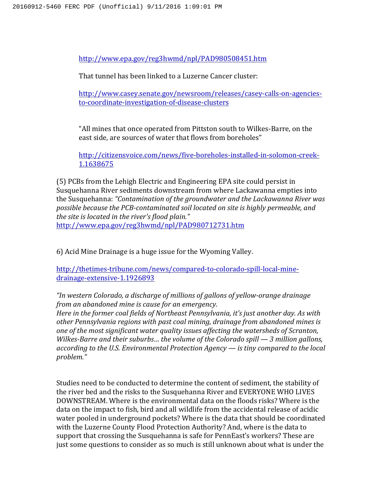http://www.epa.gov/reg3hwmd/npl/PAD980508451.htm

That tunnel has been linked to a Luzerne Cancer cluster:

http://www.casey.senate.gov/newsroom/releases/casey-calls-on-agenciesto-coordinate-investigation-of-disease-clusters

"All mines that once operated from Pittston south to Wilkes-Barre, on the east side, are sources of water that flows from boreholes"

http://citizensvoice.com/news/five-boreholes-installed-in-solomon-creek-1.1638675

(5) PCBs from the Lehigh Electric and Engineering EPA site could persist in Susquehanna River sediments downstream from where Lackawanna empties into the Susquehanna: "Contamination of the groundwater and the Lackawanna River was possible because the PCB-contaminated soil located on site is highly permeable, and the site is located in the river's flood plain." http://www.epa.gov/reg3hwmd/npl/PAD980712731.htm

6) Acid Mine Drainage is a huge issue for the Wyoming Valley.

http://thetimes-tribune.com/news/compared-to-colorado-spill-local-minedrainage-extensive-1.1926893

*"In western Colorado, a discharge of millions of gallons of yellow-orange drainage from an abandoned mine is cause for an emergency.* 

*Here in the former coal fields of Northeast Pennsylvania, it's just another day. As with* other Pennsylvania regions with past coal mining, drainage from abandoned mines is *one of the most significant water quality issues affecting the watersheds of Scranton, Wilkes-Barre and their suburbs... the volume of the Colorado spill* — 3 million gallons, *according* to the U.S. Environmental Protection Agency — is tiny compared to the local *problem."*

Studies need to be conducted to determine the content of sediment, the stability of the river bed and the risks to the Susquehanna River and EVERYONE WHO LIVES DOWNSTREAM. Where is the environmental data on the floods risks? Where is the data on the impact to fish, bird and all wildlife from the accidental release of acidic water pooled in underground pockets? Where is the data that should be coordinated with the Luzerne County Flood Protection Authority? And, where is the data to support that crossing the Susquehanna is safe for PennEast's workers? These are just some questions to consider as so much is still unknown about what is under the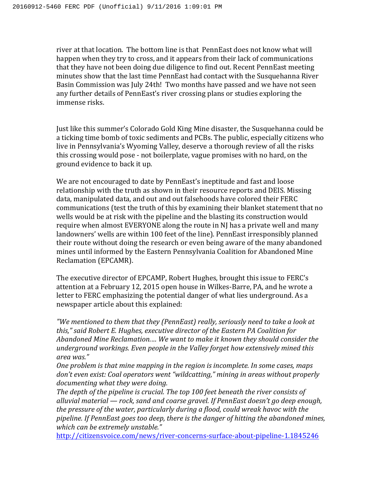river at that location. The bottom line is that PennEast does not know what will happen when they try to cross, and it appears from their lack of communications that they have not been doing due diligence to find out. Recent PennEast meeting minutes show that the last time PennEast had contact with the Susquehanna River Basin Commission was July 24th! Two months have passed and we have not seen any further details of PennEast's river crossing plans or studies exploring the immense risks.

Just like this summer's Colorado Gold King Mine disaster, the Susquehanna could be a ticking time bomb of toxic sediments and PCBs. The public, especially citizens who live in Pennsylvania's Wyoming Valley, deserve a thorough review of all the risks this crossing would pose - not boilerplate, vague promises with no hard, on the ground evidence to back it up.

We are not encouraged to date by PennEast's ineptitude and fast and loose relationship with the truth as shown in their resource reports and DEIS. Missing data, manipulated data, and out and out falsehoods have colored their FERC communications (test the truth of this by examining their blanket statement that no wells would be at risk with the pipeline and the blasting its construction would require when almost EVERYONE along the route in NJ has a private well and many landowners' wells are within 100 feet of the line). PennEast irresponsibly planned their route without doing the research or even being aware of the many abandoned mines until informed by the Eastern Pennsylvania Coalition for Abandoned Mine Reclamation (EPCAMR).

The executive director of EPCAMP, Robert Hughes, brought this issue to FERC's attention at a February 12, 2015 open house in Wilkes-Barre, PA, and he wrote a letter to FERC emphasizing the potential danger of what lies underground. As a newspaper article about this explained:

"We mentioned to them that they (PennEast) really, seriously need to take a look at this," said Robert E. Hughes, executive director of the Eastern PA Coalition for Abandoned Mine Reclamation.... We want to make it known they should consider the *underground workings. Even people in the Valley forget how extensively mined this area was."*

*One problem is that mine mapping in the region is incomplete. In some cases, maps* don't even exist: Coal operators went "wildcatting," mining in areas without properly documenting what they were doing.

The depth of the pipeline is crucial. The top 100 feet beneath the river consists of alluvial material — rock, sand and coarse gravel. If PennEast doesn't go deep enough, *the pressure of the water, particularly during a flood, could wreak havoc with the* pipeline. If PennEast goes too deep, there is the danger of hitting the abandoned mines, *which can be extremely unstable."*

http://citizensvoice.com/news/river-concerns-surface-about-pipeline-1.1845246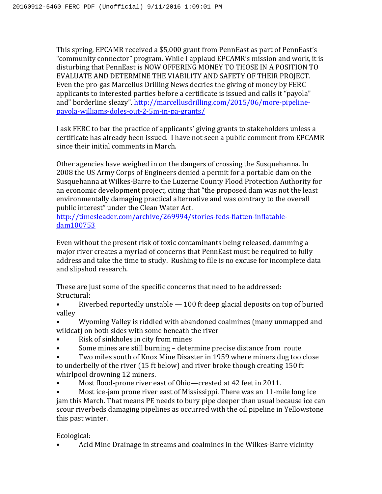This spring, EPCAMR received a \$5,000 grant from PennEast as part of PennEast's "community connector" program. While I applaud EPCAMR's mission and work, it is disturbing that PennEast is NOW OFFERING MONEY TO THOSE IN A POSITION TO EVALUATE AND DETERMINE THE VIABILITY AND SAFETY OF THEIR PROJECT. Even the pro-gas Marcellus Drilling News decries the giving of money by FERC applicants to interested parties before a certificate is issued and calls it "payola" and" borderline sleazy". http://marcellusdrilling.com/2015/06/more-pipelinepayola-williams-doles-out-2-5m-in-pa-grants/ 

I ask FERC to bar the practice of applicants' giving grants to stakeholders unless a certificate has already been issued. I have not seen a public comment from EPCAMR since their initial comments in March.

Other agencies have weighed in on the dangers of crossing the Susquehanna. In 2008 the US Army Corps of Engineers denied a permit for a portable dam on the Susquehanna at Wilkes-Barre to the Luzerne County Flood Protection Authority for an economic development project, citing that "the proposed dam was not the least environmentally damaging practical alternative and was contrary to the overall public interest" under the Clean Water Act.

http://timesleader.com/archive/269994/stories-feds-flatten-inflatabledam100753 

Even without the present risk of toxic contaminants being released, damming a major river creates a myriad of concerns that PennEast must be required to fully address and take the time to study. Rushing to file is no excuse for incomplete data and slipshod research.

These are just some of the specific concerns that need to be addressed: Structural:

• Riverbed reportedly unstable  $-100$  ft deep glacial deposits on top of buried valley

Wyoming Valley is riddled with abandoned coalmines (many unmapped and wildcat) on both sides with some beneath the river

- Risk of sinkholes in city from mines
- Some mines are still burning determine precise distance from route
- Two miles south of Knox Mine Disaster in 1959 where miners dug too close to underbelly of the river (15 ft below) and river broke though creating 150 ft whirlpool drowning 12 miners.
- Most flood-prone river east of Ohio—crested at 42 feet in 2011.

Most ice-jam prone river east of Mississippi. There was an 11-mile long ice jam this March. That means PE needs to bury pipe deeper than usual because ice can scour riverbeds damaging pipelines as occurred with the oil pipeline in Yellowstone this past winter.

Ecological:

Acid Mine Drainage in streams and coalmines in the Wilkes-Barre vicinity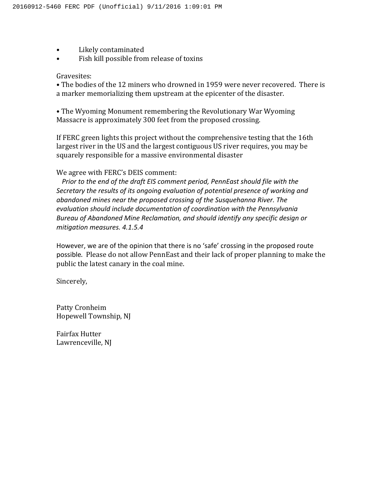- Likely contaminated
- Fish kill possible from release of toxins

#### Gravesites:

• The bodies of the 12 miners who drowned in 1959 were never recovered. There is a marker memorializing them upstream at the epicenter of the disaster.

• The Wyoming Monument remembering the Revolutionary War Wyoming Massacre is approximately 300 feet from the proposed crossing.

If FERC green lights this project without the comprehensive testing that the 16th largest river in the US and the largest contiguous US river requires, you may be squarely responsible for a massive environmental disaster

#### We agree with FERC's DEIS comment:

*Prior* to the end of the draft EIS comment period, PennEast should file with the Secretary the results of its ongoing evaluation of potential presence of working and abandoned mines near the proposed crossing of the Susquehanna River. The evaluation should include documentation of coordination with the Pennsylvania *Bureau of Abandoned Mine Reclamation, and should identify any specific design or mitigation measures. 4.1.5.4*

However, we are of the opinion that there is no 'safe' crossing in the proposed route possible. Please do not allow PennEast and their lack of proper planning to make the public the latest canary in the coal mine.

Sincerely,

Patty Cronheim Hopewell Township, NJ

Fairfax Hutter Lawrenceville, NJ